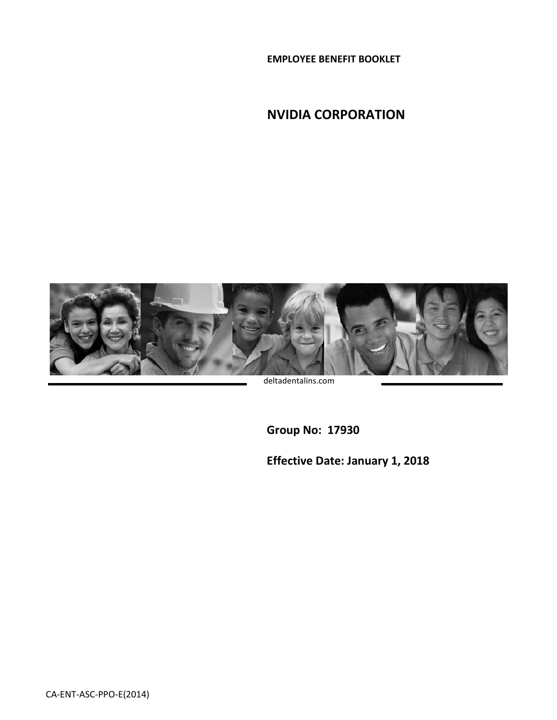**EMPLOYEE BENEFIT BOOKLET**

**NVIDIA CORPORATION**



deltadentalins.com

**Group No: 17930**

**Effective Date: January 1, 2018**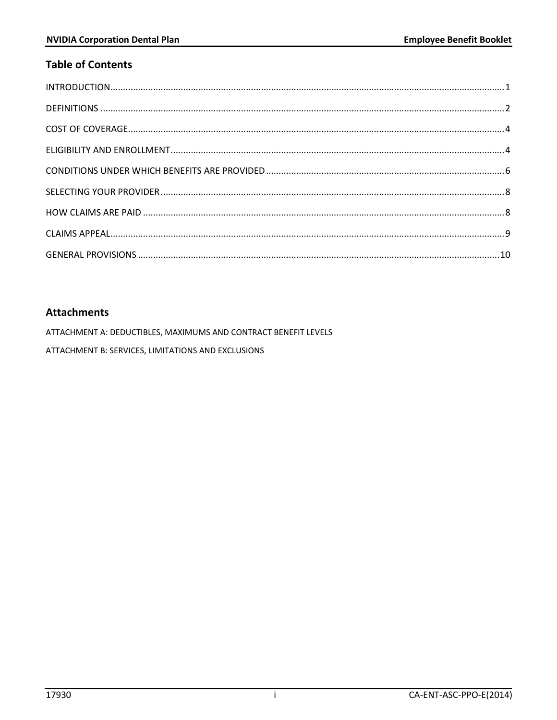# **Table of Contents**

# **Attachments**

ATTACHMENT A: DEDUCTIBLES, MAXIMUMS AND CONTRACT BENEFIT LEVELS

ATTACHMENT B: SERVICES, LIMITATIONS AND EXCLUSIONS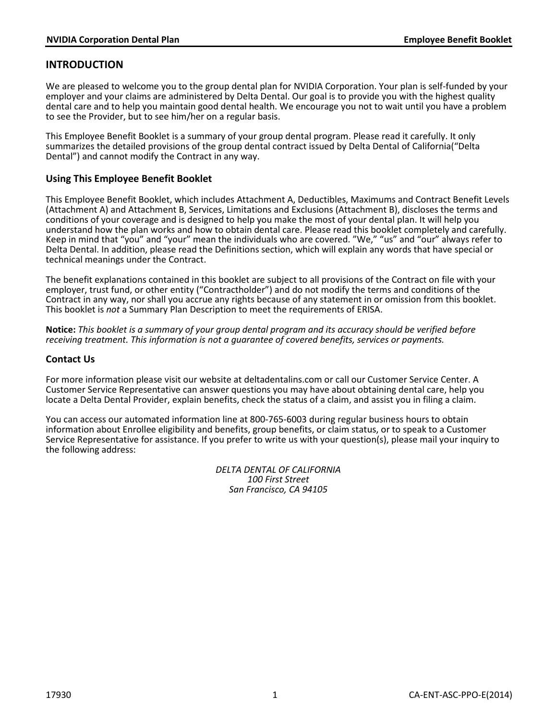## <span id="page-2-0"></span>**INTRODUCTION**

We are pleased to welcome you to the group dental plan for NVIDIA Corporation. Your plan is self-funded by your employer and your claims are administered by Delta Dental. Our goal is to provide you with the highest quality dental care and to help you maintain good dental health. We encourage you not to wait until you have a problem to see the Provider, but to see him/her on a regular basis.

This Employee Benefit Booklet is a summary of your group dental program. Please read it carefully. It only summarizes the detailed provisions of the group dental contract issued by Delta Dental of California("Delta Dental") and cannot modify the Contract in any way.

### **Using This Employee Benefit Booklet**

This Employee Benefit Booklet, which includes Attachment A, Deductibles, Maximums and Contract Benefit Levels (Attachment A) and Attachment B, Services, Limitations and Exclusions (Attachment B), discloses the terms and conditions of your coverage and is designed to help you make the most of your dental plan. It will help you understand how the plan works and how to obtain dental care. Please read this booklet completely and carefully. Keep in mind that "you" and "your" mean the individuals who are covered. "We," "us" and "our" always refer to Delta Dental. In addition, please read the Definitions section, which will explain any words that have special or technical meanings under the Contract.

The benefit explanations contained in this booklet are subject to all provisions of the Contract on file with your employer, trust fund, or other entity ("Contractholder") and do not modify the terms and conditions of the Contract in any way, nor shall you accrue any rights because of any statement in or omission from this booklet. This booklet is *not* a Summary Plan Description to meet the requirements of ERISA.

**Notice:** *This booklet is a summary of your group dental program and its accuracy should be verified before receiving treatment. This information is not a guarantee of covered benefits, services or payments.*

### **Contact Us**

For more information please visit our website at deltadentalins.com or call our Customer Service Center. A Customer Service Representative can answer questions you may have about obtaining dental care, help you locate a Delta Dental Provider, explain benefits, check the status of a claim, and assist you in filing a claim.

You can access our automated information line at 800-765-6003 during regular business hours to obtain information about Enrollee eligibility and benefits, group benefits, or claim status, or to speak to a Customer Service Representative for assistance. If you prefer to write us with your question(s), please mail your inquiry to the following address:

> *DELTA DENTAL OF CALIFORNIA 100 First Street San Francisco, CA 94105*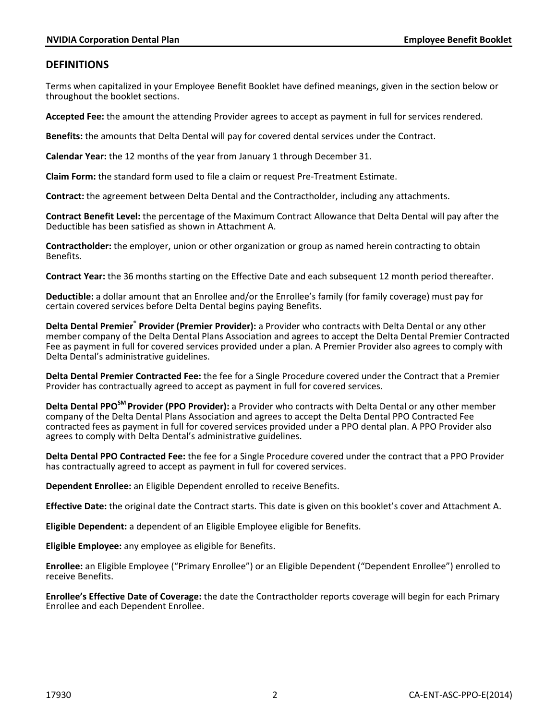## <span id="page-3-0"></span>**DEFINITIONS**

Terms when capitalized in your Employee Benefit Booklet have defined meanings, given in the section below or throughout the booklet sections.

**Accepted Fee:** the amount the attending Provider agrees to accept as payment in full for services rendered.

**Benefits:** the amounts that Delta Dental will pay for covered dental services under the Contract.

**Calendar Year:** the 12 months of the year from January 1 through December 31.

**Claim Form:** the standard form used to file a claim or request Pre-Treatment Estimate.

**Contract:** the agreement between Delta Dental and the Contractholder, including any attachments.

**Contract Benefit Level:** the percentage of the Maximum Contract Allowance that Delta Dental will pay after the Deductible has been satisfied as shown in Attachment A.

**Contractholder:** the employer, union or other organization or group as named herein contracting to obtain Benefits.

**Contract Year:** the 36 months starting on the Effective Date and each subsequent 12 month period thereafter.

**Deductible:** a dollar amount that an Enrollee and/or the Enrollee's family (for family coverage) must pay for certain covered services before Delta Dental begins paying Benefits.

**Delta Dental Premier® Provider (Premier Provider):** a Provider who contracts with Delta Dental or any other member company of the Delta Dental Plans Association and agrees to accept the Delta Dental Premier Contracted Fee as payment in full for covered services provided under a plan. A Premier Provider also agrees to comply with Delta Dental's administrative guidelines.

**Delta Dental Premier Contracted Fee:** the fee for a Single Procedure covered under the Contract that a Premier Provider has contractually agreed to accept as payment in full for covered services.

**Delta Dental PPOSM Provider (PPO Provider):** a Provider who contracts with Delta Dental or any other member company of the Delta Dental Plans Association and agrees to accept the Delta Dental PPO Contracted Fee contracted fees as payment in full for covered services provided under a PPO dental plan. A PPO Provider also agrees to comply with Delta Dental's administrative guidelines.

**Delta Dental PPO Contracted Fee:** the fee for a Single Procedure covered under the contract that a PPO Provider has contractually agreed to accept as payment in full for covered services.

**Dependent Enrollee:** an Eligible Dependent enrolled to receive Benefits.

**Effective Date:** the original date the Contract starts. This date is given on this booklet's cover and Attachment A.

**Eligible Dependent:** a dependent of an Eligible Employee eligible for Benefits.

**Eligible Employee:** any employee as eligible for Benefits.

**Enrollee:** an Eligible Employee ("Primary Enrollee") or an Eligible Dependent ("Dependent Enrollee") enrolled to receive Benefits.

**Enrollee's Effective Date of Coverage:** the date the Contractholder reports coverage will begin for each Primary Enrollee and each Dependent Enrollee.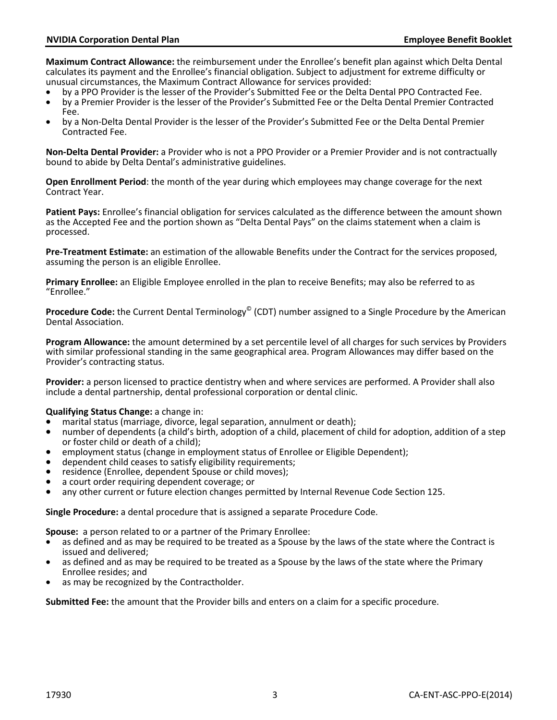**Maximum Contract Allowance:** the reimbursement under the Enrollee's benefit plan against which Delta Dental calculates its payment and the Enrollee's financial obligation. Subject to adjustment for extreme difficulty or unusual circumstances, the Maximum Contract Allowance for services provided:<br>• by a PPO Provider is the lesser of the Provider's Submitted Fee or the Delta Dental PPO Contracted Fee.

- 
- by a Premier Provider is the lesser of the Provider's Submitted Fee or the Delta Dental Premier Contracted Fee.
- by a Non-Delta Dental Provider is the lesser of the Provider's Submitted Fee or the Delta Dental Premier Contracted Fee.

**Non-Delta Dental Provider:** a Provider who is not a PPO Provider or a Premier Provider and is not contractually bound to abide by Delta Dental's administrative guidelines.

**Open Enrollment Period**: the month of the year during which employees may change coverage for the next Contract Year.

**Patient Pays:** Enrollee's financial obligation for services calculated as the difference between the amount shown as the Accepted Fee and the portion shown as "Delta Dental Pays" on the claims statement when a claim is processed.

**Pre-Treatment Estimate:** an estimation of the allowable Benefits under the Contract for the services proposed, assuming the person is an eligible Enrollee.

**Primary Enrollee:** an Eligible Employee enrolled in the plan to receive Benefits; may also be referred to as "Enrollee."

**Procedure Code:** the Current Dental Terminology© (CDT) number assigned to a Single Procedure by the American Dental Association.

**Program Allowance:** the amount determined by a set percentile level of all charges for such services by Providers with similar professional standing in the same geographical area. Program Allowances may differ based on the Provider's contracting status.

**Provider:** a person licensed to practice dentistry when and where services are performed. A Provider shall also include a dental partnership, dental professional corporation or dental clinic.

#### **Qualifying Status Change:** a change in:

- marital status (marriage, divorce, legal separation, annulment or death);
- number of dependents (a child's birth, adoption of a child, placement of child for adoption, addition of a step or foster child or death of a child);
- employment status (change in employment status of Enrollee or Eligible Dependent);
- dependent child ceases to satisfy eligibility requirements;<br>residence (Enrollee, dependent Spouse or child moves);<br>a court order requiring dependent coverage; or
- 
- 
- any other current or future election changes permitted by Internal Revenue Code Section 125.

**Single Procedure:** a dental procedure that is assigned a separate Procedure Code.

**Spouse:** a person related to or a partner of the Primary Enrollee:

- as defined and as may be required to be treated as a Spouse by the laws of the state where the Contract is issued and delivered:
- as defined and as may be required to be treated as a Spouse by the laws of the state where the Primary Enrollee resides; and
- as may be recognized by the Contractholder.

**Submitted Fee:** the amount that the Provider bills and enters on a claim for a specific procedure.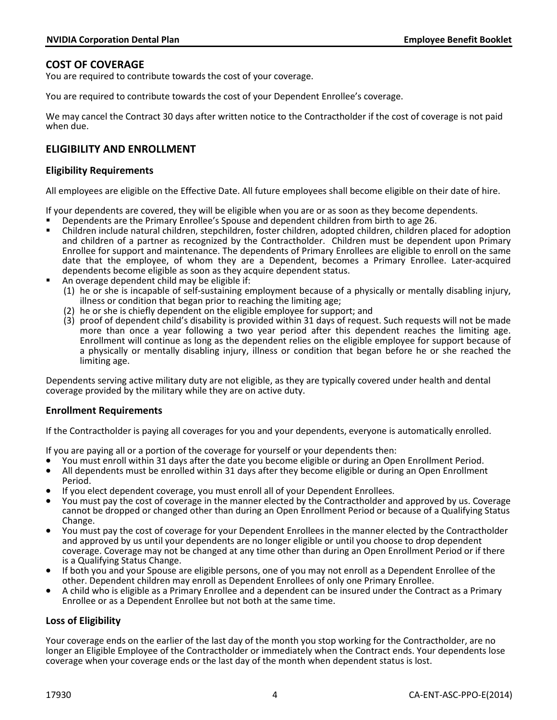## <span id="page-5-0"></span>**COST OF COVERAGE**

You are required to contribute towards the cost of your coverage.

You are required to contribute towards the cost of your Dependent Enrollee's coverage.

We may cancel the Contract 30 days after written notice to the Contractholder if the cost of coverage is not paid when due.

## <span id="page-5-1"></span>**ELIGIBILITY AND ENROLLMENT**

### **Eligibility Requirements**

All employees are eligible on the Effective Date. All future employees shall become eligible on their date of hire.

If your dependents are covered, they will be eligible when you are or as soon as they become dependents.<br> **B** Dependents are the Primary Enrollee's Spouse and dependent children from birth to age 26.

- 
- Children include natural children, stepchildren, foster children, adopted children, children placed for adoption and children of a partner as recognized by the Contractholder. Children must be dependent upon Primary Enrollee for support and maintenance. The dependents of Primary Enrollees are eligible to enroll on the same date that the employee, of whom they are a Dependent, becomes a Primary Enrollee. Later-acquired dependents become eligible as soon as they acquire dependent status. An overage dependent child may be eligible if:
- - (1) he or she is incapable of self-sustaining employment because of a physically or mentally disabling injury, illness or condition that began prior to reaching the limiting age;
	- (2) he or she is chiefly dependent on the eligible employee for support; and
	- (3) proof of dependent child's disability is provided within 31 days of request. Such requests will not be made more than once a year following a two year period after this dependent reaches the limiting age. Enrollment will continue as long as the dependent relies on the eligible employee for support because of a physically or mentally disabling injury, illness or condition that began before he or she reached the limiting age.

Dependents serving active military duty are not eligible, as they are typically covered under health and dental coverage provided by the military while they are on active duty.

### **Enrollment Requirements**

If the Contractholder is paying all coverages for you and your dependents, everyone is automatically enrolled.

- If you are paying all or a portion of the coverage for yourself or your dependents then:<br>• You must enroll within 31 days after the date you become eligible or during an Open Enrollment Period.
- All dependents must be enrolled within 31 days after they become eligible or during an Open Enrollment<br>Period
- If you elect dependent coverage, you must enroll all of your Dependent Enrollees.
- You must pay the cost of coverage in the manner elected by the Contractholder and approved by us. Coverage cannot be dropped or changed other than during an Open Enrollment Period or because of a Qualifying Status Change.
- You must pay the cost of coverage for your Dependent Enrollees in the manner elected by the Contractholder and approved by us until your dependents are no longer eligible or until you choose to drop dependent coverage. Coverage may not be changed at any time other than during an Open Enrollment Period or if there is a Qualifying Status Change.
- If both you and your Spouse are eligible persons, one of you may not enroll as a Dependent Enrollee of the other. Dependent children may enroll as Dependent Enrollees of only one Primary Enrollee.
- A child who is eligible as a Primary Enrollee and a dependent can be insured under the Contract as a Primary Enrollee or as a Dependent Enrollee but not both at the same time.

### **Loss of Eligibility**

Your coverage ends on the earlier of the last day of the month you stop working for the Contractholder, are no longer an Eligible Employee of the Contractholder or immediately when the Contract ends. Your dependents lose coverage when your coverage ends or the last day of the month when dependent status is lost.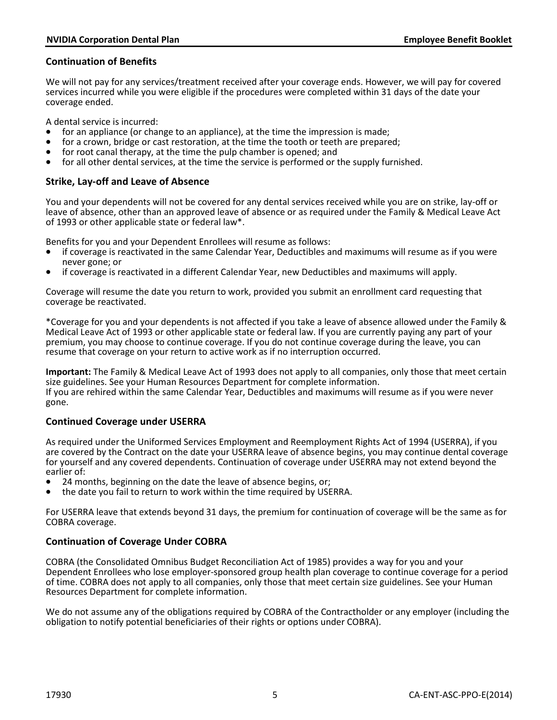### **Continuation of Benefits**

We will not pay for any services/treatment received after your coverage ends. However, we will pay for covered services incurred while you were eligible if the procedures were completed within 31 days of the date your coverage ended.

- A dental service is incurred:<br>• for an appliance (or change to an appliance), at the time the impression is made;
- for a crown, bridge or cast restoration, at the time the tooth or teeth are prepared;
- for root canal therapy, at the time the pulp chamber is opened; and
- for all other dental services, at the time the service is performed or the supply furnished.

### **Strike, Lay-off and Leave of Absence**

You and your dependents will not be covered for any dental services received while you are on strike, lay-off or leave of absence, other than an approved leave of absence or as required under the Family & Medical Leave Act of 1993 or other applicable state or federal law\*.

Benefits for you and your Dependent Enrollees will resume as follows:

- if coverage is reactivated in the same Calendar Year, Deductibles and maximums will resume as if you were never gone; or
- if coverage is reactivated in a different Calendar Year, new Deductibles and maximums will apply.

Coverage will resume the date you return to work, provided you submit an enrollment card requesting that coverage be reactivated.

\*Coverage for you and your dependents is not affected if you take a leave of absence allowed under the Family & Medical Leave Act of 1993 or other applicable state or federal law. If you are currently paying any part of your premium, you may choose to continue coverage. If you do not continue coverage during the leave, you can resume that coverage on your return to active work as if no interruption occurred.

**Important:** The Family & Medical Leave Act of 1993 does not apply to all companies, only those that meet certain size guidelines. See your Human Resources Department for complete information. If you are rehired within the same Calendar Year, Deductibles and maximums will resume as if you were never gone.

### **Continued Coverage under USERRA**

As required under the Uniformed Services Employment and Reemployment Rights Act of 1994 (USERRA), if you are covered by the Contract on the date your USERRA leave of absence begins, you may continue dental coverage for yourself and any covered dependents. Continuation of coverage under USERRA may not extend beyond the earlier of:<br>• 24 months, beginning on the date the leave of absence begins, or;

- 
- the date you fail to return to work within the time required by USERRA.

For USERRA leave that extends beyond 31 days, the premium for continuation of coverage will be the same as for COBRA coverage.

### **Continuation of Coverage Under COBRA**

COBRA (the Consolidated Omnibus Budget Reconciliation Act of 1985) provides a way for you and your Dependent Enrollees who lose employer-sponsored group health plan coverage to continue coverage for a period of time. COBRA does not apply to all companies, only those that meet certain size guidelines. See your Human Resources Department for complete information.

We do not assume any of the obligations required by COBRA of the Contractholder or any employer (including the obligation to notify potential beneficiaries of their rights or options under COBRA).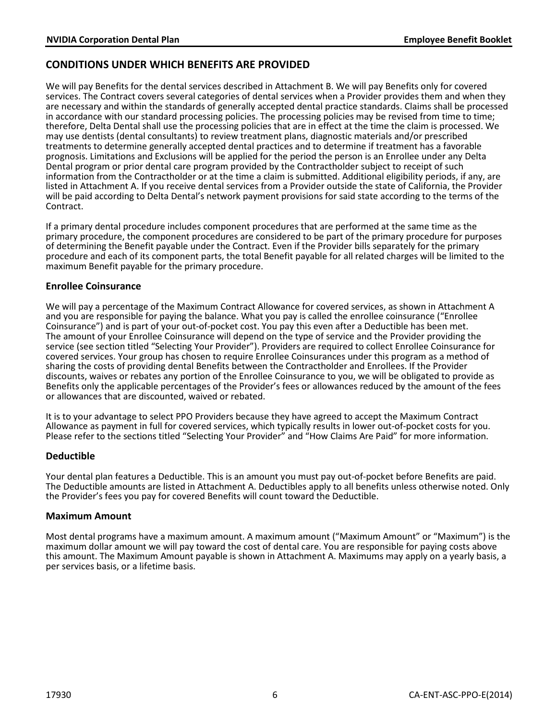# <span id="page-7-0"></span>**CONDITIONS UNDER WHICH BENEFITS ARE PROVIDED**

We will pay Benefits for the dental services described in Attachment B. We will pay Benefits only for covered services. The Contract covers several categories of dental services when a Provider provides them and when they are necessary and within the standards of generally accepted dental practice standards. Claims shall be processed in accordance with our standard processing policies. The processing policies may be revised from time to time; therefore, Delta Dental shall use the processing policies that are in effect at the time the claim is processed. We may use dentists (dental consultants) to review treatment plans, diagnostic materials and/or prescribed treatments to determine generally accepted dental practices and to determine if treatment has a favorable prognosis. Limitations and Exclusions will be applied for the period the person is an Enrollee under any Delta Dental program or prior dental care program provided by the Contractholder subject to receipt of such information from the Contractholder or at the time a claim is submitted. Additional eligibility periods, if any, are listed in Attachment A. If you receive dental services from a Provider outside the state of California, the Provider will be paid according to Delta Dental's network payment provisions for said state according to the terms of the Contract.

If a primary dental procedure includes component procedures that are performed at the same time as the primary procedure, the component procedures are considered to be part of the primary procedure for purposes of determining the Benefit payable under the Contract. Even if the Provider bills separately for the primary procedure and each of its component parts, the total Benefit payable for all related charges will be limited to the maximum Benefit payable for the primary procedure.

### **Enrollee Coinsurance**

We will pay a percentage of the Maximum Contract Allowance for covered services, as shown in Attachment A and you are responsible for paying the balance. What you pay is called the enrollee coinsurance ("Enrollee Coinsurance") and is part of your out-of-pocket cost. You pay this even after a Deductible has been met. The amount of your Enrollee Coinsurance will depend on the type of service and the Provider providing the service (see section titled "Selecting Your Provider"). Providers are required to collect Enrollee Coinsurance for covered services. Your group has chosen to require Enrollee Coinsurances under this program as a method of sharing the costs of providing dental Benefits between the Contractholder and Enrollees. If the Provider discounts, waives or rebates any portion of the Enrollee Coinsurance to you, we will be obligated to provide as Benefits only the applicable percentages of the Provider's fees or allowances reduced by the amount of the fees or allowances that are discounted, waived or rebated.

It is to your advantage to select PPO Providers because they have agreed to accept the Maximum Contract Allowance as payment in full for covered services, which typically results in lower out-of-pocket costs for you. Please refer to the sections titled "Selecting Your Provider" and "How Claims Are Paid" for more information.

### **Deductible**

Your dental plan features a Deductible. This is an amount you must pay out-of-pocket before Benefits are paid. The Deductible amounts are listed in Attachment A. Deductibles apply to all benefits unless otherwise noted. Only the Provider's fees you pay for covered Benefits will count toward the Deductible.

### **Maximum Amount**

Most dental programs have a maximum amount. A maximum amount ("Maximum Amount" or "Maximum") is the maximum dollar amount we will pay toward the cost of dental care. You are responsible for paying costs above this amount. The Maximum Amount payable is shown in Attachment A. Maximums may apply on a yearly basis, a per services basis, or a lifetime basis.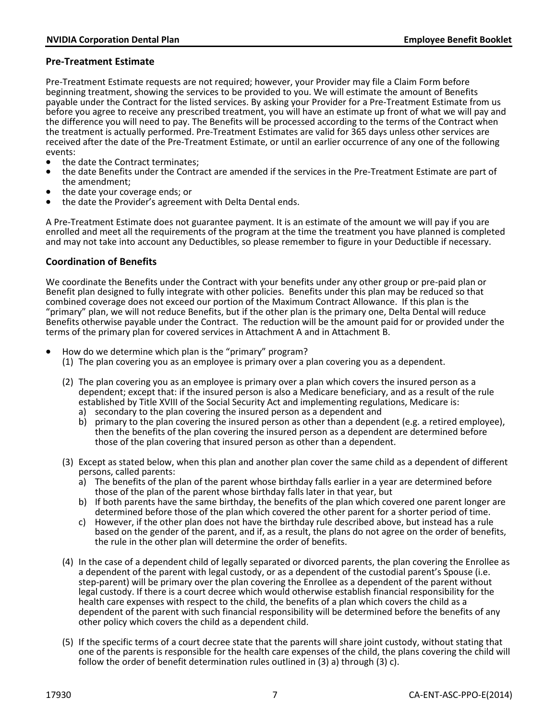### **Pre-Treatment Estimate**

Pre-Treatment Estimate requests are not required; however, your Provider may file a Claim Form before beginning treatment, showing the services to be provided to you. We will estimate the amount of Benefits payable under the Contract for the listed services. By asking your Provider for a Pre-Treatment Estimate from us before you agree to receive any prescribed treatment, you will have an estimate up front of what we will pay and the difference you will need to pay. The Benefits will be processed according to the terms of the Contract when the treatment is actually performed. Pre-Treatment Estimates are valid for 365 days unless other services are received after the date of the Pre-Treatment Estimate, or until an earlier occurrence of any one of the following events:<br>• the date the Contract terminates:

- 
- the date Benefits under the Contract are amended if the services in the Pre-Treatment Estimate are part of the amendment;<br>the date your coverage ends; or
- 
- the date the Provider's agreement with Delta Dental ends.

A Pre-Treatment Estimate does not guarantee payment. It is an estimate of the amount we will pay if you are enrolled and meet all the requirements of the program at the time the treatment you have planned is completed and may not take into account any Deductibles, so please remember to figure in your Deductible if necessary.

### **Coordination of Benefits**

We coordinate the Benefits under the Contract with your benefits under any other group or pre-paid plan or Benefit plan designed to fully integrate with other policies. Benefits under this plan may be reduced so that combined coverage does not exceed our portion of the Maximum Contract Allowance. If this plan is the "primary" plan, we will not reduce Benefits, but if the other plan is the primary one, Delta Dental will reduce Benefits otherwise payable under the Contract. The reduction will be the amount paid for or provided under the terms of the primary plan for covered services in Attachment A and in Attachment B.

- How do we determine which plan is the "primary" program?
	- (1) The plan covering you as an employee is primary over a plan covering you as a dependent.
	- (2) The plan covering you as an employee is primary over a plan which covers the insured person as a dependent; except that: if the insured person is also a Medicare beneficiary, and as a result of the rule established by Title XVIII of the Social Security Act and implementing regulations, Medicare is:
		- a) secondary to the plan covering the insured person as a dependent and
		- b) primary to the plan covering the insured person as other than a dependent (e.g. a retired employee), then the benefits of the plan covering the insured person as a dependent are determined before those of the plan covering that insured person as other than a dependent.
	- (3) Except as stated below, when this plan and another plan cover the same child as a dependent of different persons, called parents:
		- a) The benefits of the plan of the parent whose birthday falls earlier in a year are determined before those of the plan of the parent whose birthday falls later in that year, but
		- b) If both parents have the same birthday, the benefits of the plan which covered one parent longer are determined before those of the plan which covered the other parent for a shorter period of time.
		- c) However, if the other plan does not have the birthday rule described above, but instead has a rule based on the gender of the parent, and if, as a result, the plans do not agree on the order of benefits, the rule in the other plan will determine the order of benefits.
	- (4) In the case of a dependent child of legally separated or divorced parents, the plan covering the Enrollee as a dependent of the parent with legal custody, or as a dependent of the custodial parent's Spouse (i.e. step-parent) will be primary over the plan covering the Enrollee as a dependent of the parent without legal custody. If there is a court decree which would otherwise establish financial responsibility for the health care expenses with respect to the child, the benefits of a plan which covers the child as a dependent of the parent with such financial responsibility will be determined before the benefits of any other policy which covers the child as a dependent child.
	- (5) If the specific terms of a court decree state that the parents will share joint custody, without stating that one of the parents is responsible for the health care expenses of the child, the plans covering the child will follow the order of benefit determination rules outlined in  $(3)$  a) through  $(3)$  c).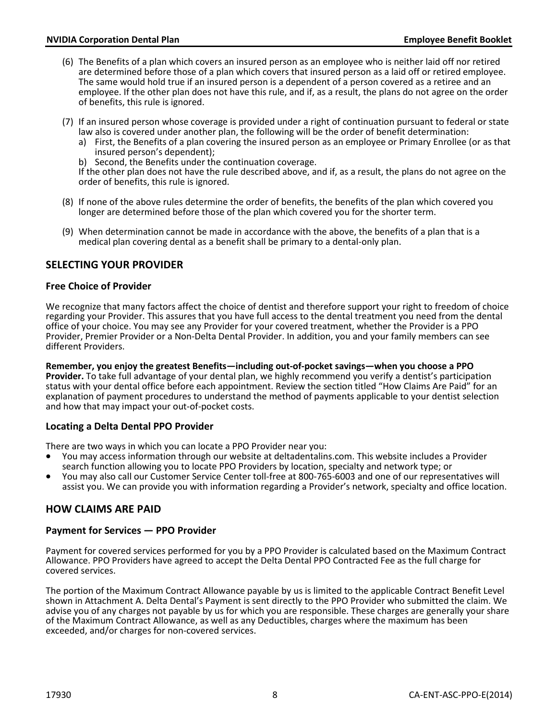- (6) The Benefits of a plan which covers an insured person as an employee who is neither laid off nor retired are determined before those of a plan which covers that insured person as a laid off or retired employee. The same would hold true if an insured person is a dependent of a person covered as a retiree and an employee. If the other plan does not have this rule, and if, as a result, the plans do not agree on the order of benefits, this rule is ignored.
- (7) If an insured person whose coverage is provided under a right of continuation pursuant to federal or state law also is covered under another plan, the following will be the order of benefit determination:
	- a) First, the Benefits of a plan covering the insured person as an employee or Primary Enrollee (or as that insured person's dependent);
	- b) Second, the Benefits under the continuation coverage.

If the other plan does not have the rule described above, and if, as a result, the plans do not agree on the order of benefits, this rule is ignored.

- (8) If none of the above rules determine the order of benefits, the benefits of the plan which covered you longer are determined before those of the plan which covered you for the shorter term.
- (9) When determination cannot be made in accordance with the above, the benefits of a plan that is a medical plan covering dental as a benefit shall be primary to a dental-only plan.

# <span id="page-9-0"></span>**SELECTING YOUR PROVIDER**

### **Free Choice of Provider**

We recognize that many factors affect the choice of dentist and therefore support your right to freedom of choice regarding your Provider. This assures that you have full access to the dental treatment you need from the dental office of your choice. You may see any Provider for your covered treatment, whether the Provider is a PPO Provider, Premier Provider or a Non-Delta Dental Provider. In addition, you and your family members can see different Providers.

**Remember, you enjoy the greatest Benefits—including out-of-pocket savings—when you choose a PPO Provider.** To take full advantage of your dental plan, we highly recommend you verify a dentist's participation status with your dental office before each appointment. Review the section titled "How Claims Are Paid" for an explanation of payment procedures to understand the method of payments applicable to your dentist selection and how that may impact your out-of-pocket costs.

### **Locating a Delta Dental PPO Provider**

- There are two ways in which you can locate a PPO Provider near you:<br>• You may access information through our website at deltadentalins.com. This website includes a Provider search function allowing you to locate PPO Providers by location, specialty and network type; or
- You may also call our Customer Service Center toll-free at 800-765-6003 and one of our representatives will assist you. We can provide you with information regarding a Provider's network, specialty and office location.

### <span id="page-9-1"></span>**HOW CLAIMS ARE PAID**

### **Payment for Services — PPO Provider**

Payment for covered services performed for you by a PPO Provider is calculated based on the Maximum Contract Allowance. PPO Providers have agreed to accept the Delta Dental PPO Contracted Fee as the full charge for covered services.

The portion of the Maximum Contract Allowance payable by us is limited to the applicable Contract Benefit Level shown in Attachment A. Delta Dental's Payment is sent directly to the PPO Provider who submitted the claim. We advise you of any charges not payable by us for which you are responsible. These charges are generally your share of the Maximum Contract Allowance, as well as any Deductibles, charges where the maximum has been exceeded, and/or charges for non-covered services.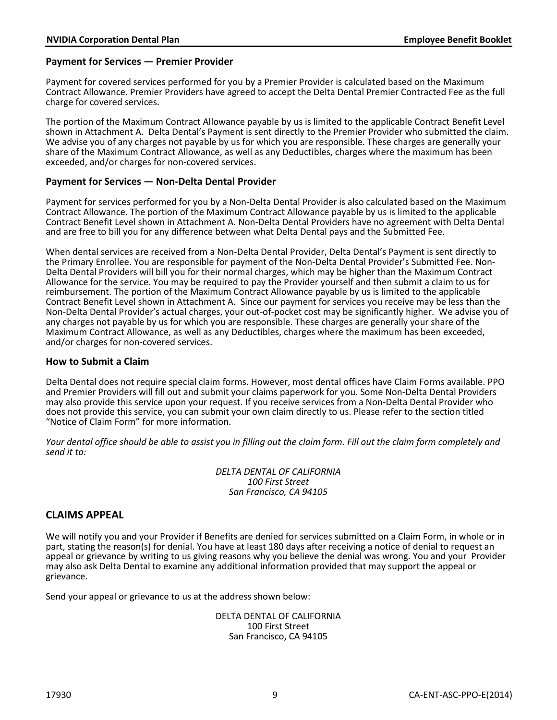### **Payment for Services — Premier Provider**

Payment for covered services performed for you by a Premier Provider is calculated based on the Maximum Contract Allowance. Premier Providers have agreed to accept the Delta Dental Premier Contracted Fee as the full charge for covered services.

The portion of the Maximum Contract Allowance payable by us is limited to the applicable Contract Benefit Level shown in Attachment A. Delta Dental's Payment is sent directly to the Premier Provider who submitted the claim. We advise you of any charges not payable by us for which you are responsible. These charges are generally your share of the Maximum Contract Allowance, as well as any Deductibles, charges where the maximum has been exceeded, and/or charges for non-covered services.

### **Payment for Services — Non-Delta Dental Provider**

Payment for services performed for you by a Non-Delta Dental Provider is also calculated based on the Maximum Contract Allowance. The portion of the Maximum Contract Allowance payable by us is limited to the applicable Contract Benefit Level shown in Attachment A. Non-Delta Dental Providers have no agreement with Delta Dental and are free to bill you for any difference between what Delta Dental pays and the Submitted Fee.

When dental services are received from a Non-Delta Dental Provider, Delta Dental's Payment is sent directly to the Primary Enrollee. You are responsible for payment of the Non-Delta Dental Provider's Submitted Fee. Non-Delta Dental Providers will bill you for their normal charges, which may be higher than the Maximum Contract Allowance for the service. You may be required to pay the Provider yourself and then submit a claim to us for reimbursement. The portion of the Maximum Contract Allowance payable by us is limited to the applicable Contract Benefit Level shown in Attachment A. Since our payment for services you receive may be less than the Non-Delta Dental Provider's actual charges, your out-of-pocket cost may be significantly higher. We advise you of any charges not payable by us for which you are responsible. These charges are generally your share of the Maximum Contract Allowance, as well as any Deductibles, charges where the maximum has been exceeded, and/or charges for non-covered services.

#### **How to Submit a Claim**

Delta Dental does not require special claim forms. However, most dental offices have Claim Forms available. PPO and Premier Providers will fill out and submit your claims paperwork for you. Some Non-Delta Dental Providers may also provide this service upon your request. If you receive services from a Non-Delta Dental Provider who does not provide this service, you can submit your own claim directly to us. Please refer to the section titled "Notice of Claim Form" for more information.

*Your dental office should be able to assist you in filling out the claim form. Fill out the claim form completely and send it to:*

> *DELTA DENTAL OF CALIFORNIA 100 First Street San Francisco, CA 94105*

### <span id="page-10-0"></span>**CLAIMS APPEAL**

We will notify you and your Provider if Benefits are denied for services submitted on a Claim Form, in whole or in part, stating the reason(s) for denial. You have at least 180 days after receiving a notice of denial to request an appeal or grievance by writing to us giving reasons why you believe the denial was wrong. You and your Provider may also ask Delta Dental to examine any additional information provided that may support the appeal or grievance.

Send your appeal or grievance to us at the address shown below:

DELTA DENTAL OF CALIFORNIA 100 First Street San Francisco, CA 94105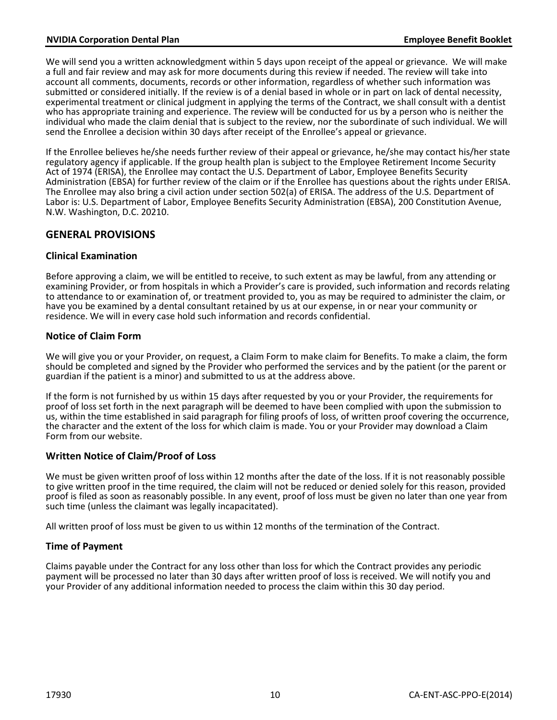### **NVIDIA Corporation Dental Plan Employee Benefit Booklet**

We will send you a written acknowledgment within 5 days upon receipt of the appeal or grievance. We will make a full and fair review and may ask for more documents during this review if needed. The review will take into account all comments, documents, records or other information, regardless of whether such information was submitted or considered initially. If the review is of a denial based in whole or in part on lack of dental necessity, experimental treatment or clinical judgment in applying the terms of the Contract, we shall consult with a dentist who has appropriate training and experience. The review will be conducted for us by a person who is neither the individual who made the claim denial that is subject to the review, nor the subordinate of such individual. We will send the Enrollee a decision within 30 days after receipt of the Enrollee's appeal or grievance.

If the Enrollee believes he/she needs further review of their appeal or grievance, he/she may contact his/her state regulatory agency if applicable. If the group health plan is subject to the Employee Retirement Income Security Act of 1974 (ERISA), the Enrollee may contact the U.S. Department of Labor, Employee Benefits Security Administration (EBSA) for further review of the claim or if the Enrollee has questions about the rights under ERISA. The Enrollee may also bring a civil action under section 502(a) of ERISA. The address of the U.S. Department of Labor is: U.S. Department of Labor, Employee Benefits Security Administration (EBSA), 200 Constitution Avenue, N.W. Washington, D.C. 20210.

## <span id="page-11-0"></span>**GENERAL PROVISIONS**

### **Clinical Examination**

Before approving a claim, we will be entitled to receive, to such extent as may be lawful, from any attending or examining Provider, or from hospitals in which a Provider's care is provided, such information and records relating to attendance to or examination of, or treatment provided to, you as may be required to administer the claim, or have you be examined by a dental consultant retained by us at our expense, in or near your community or residence. We will in every case hold such information and records confidential.

### **Notice of Claim Form**

We will give you or your Provider, on request, a Claim Form to make claim for Benefits. To make a claim, the form should be completed and signed by the Provider who performed the services and by the patient (or the parent or guardian if the patient is a minor) and submitted to us at the address above.

If the form is not furnished by us within 15 days after requested by you or your Provider, the requirements for proof of loss set forth in the next paragraph will be deemed to have been complied with upon the submission to us, within the time established in said paragraph for filing proofs of loss, of written proof covering the occurrence, the character and the extent of the loss for which claim is made. You or your Provider may download a Claim Form from our website.

### **Written Notice of Claim/Proof of Loss**

We must be given written proof of loss within 12 months after the date of the loss. If it is not reasonably possible to give written proof in the time required, the claim will not be reduced or denied solely for this reason, provided proof is filed as soon as reasonably possible. In any event, proof of loss must be given no later than one year from such time (unless the claimant was legally incapacitated).

All written proof of loss must be given to us within 12 months of the termination of the Contract.

### **Time of Payment**

Claims payable under the Contract for any loss other than loss for which the Contract provides any periodic payment will be processed no later than 30 days after written proof of loss is received. We will notify you and your Provider of any additional information needed to process the claim within this 30 day period.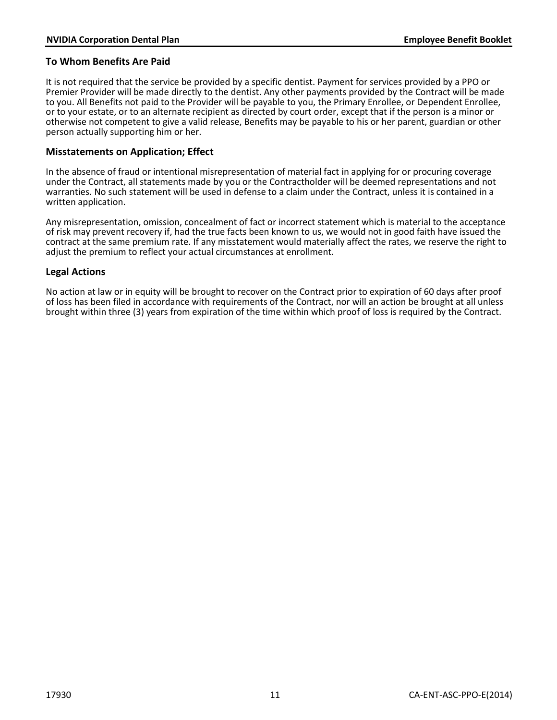### **To Whom Benefits Are Paid**

It is not required that the service be provided by a specific dentist. Payment for services provided by a PPO or Premier Provider will be made directly to the dentist. Any other payments provided by the Contract will be made to you. All Benefits not paid to the Provider will be payable to you, the Primary Enrollee, or Dependent Enrollee, or to your estate, or to an alternate recipient as directed by court order, except that if the person is a minor or otherwise not competent to give a valid release, Benefits may be payable to his or her parent, guardian or other person actually supporting him or her.

### **Misstatements on Application; Effect**

In the absence of fraud or intentional misrepresentation of material fact in applying for or procuring coverage under the Contract, all statements made by you or the Contractholder will be deemed representations and not warranties. No such statement will be used in defense to a claim under the Contract, unless it is contained in a written application.

Any misrepresentation, omission, concealment of fact or incorrect statement which is material to the acceptance of risk may prevent recovery if, had the true facts been known to us, we would not in good faith have issued the contract at the same premium rate. If any misstatement would materially affect the rates, we reserve the right to adjust the premium to reflect your actual circumstances at enrollment.

### **Legal Actions**

No action at law or in equity will be brought to recover on the Contract prior to expiration of 60 days after proof of loss has been filed in accordance with requirements of the Contract, nor will an action be brought at all unless brought within three (3) years from expiration of the time within which proof of loss is required by the Contract.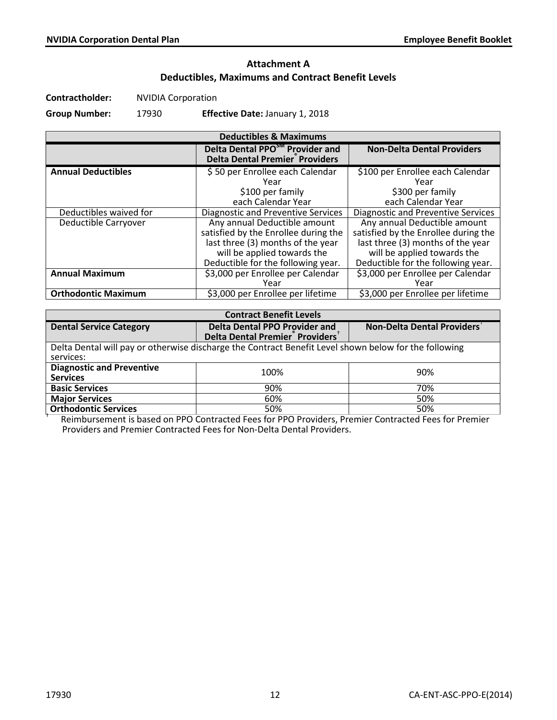# **Attachment A Deductibles, Maximums and Contract Benefit Levels**

**Contractholder:** NVIDIA Corporation

**Group Number:** 17930 **Effective Date:** January 1, 2018

| <b>Deductibles &amp; Maximums</b> |                                                                                                                                                                                |                                                                                                                                                                                |  |  |
|-----------------------------------|--------------------------------------------------------------------------------------------------------------------------------------------------------------------------------|--------------------------------------------------------------------------------------------------------------------------------------------------------------------------------|--|--|
|                                   | Delta Dental PPO <sup>SM</sup> Provider and<br><b>Delta Dental Premier<sup>®</sup> Providers</b>                                                                               | <b>Non-Delta Dental Providers</b>                                                                                                                                              |  |  |
| <b>Annual Deductibles</b>         | \$50 per Enrollee each Calendar<br>Year<br>\$100 per family<br>each Calendar Year                                                                                              | \$100 per Enrollee each Calendar<br>Year<br>\$300 per family<br>each Calendar Year                                                                                             |  |  |
| Deductibles waived for            | Diagnostic and Preventive Services                                                                                                                                             | <b>Diagnostic and Preventive Services</b>                                                                                                                                      |  |  |
| Deductible Carryover              | Any annual Deductible amount<br>satisfied by the Enrollee during the<br>last three (3) months of the year<br>will be applied towards the<br>Deductible for the following year. | Any annual Deductible amount<br>satisfied by the Enrollee during the<br>last three (3) months of the year<br>will be applied towards the<br>Deductible for the following year. |  |  |
| <b>Annual Maximum</b>             | \$3,000 per Enrollee per Calendar<br>Year                                                                                                                                      | \$3,000 per Enrollee per Calendar<br>Year                                                                                                                                      |  |  |
| <b>Orthodontic Maximum</b>        | \$3,000 per Enrollee per lifetime                                                                                                                                              | \$3,000 per Enrollee per lifetime                                                                                                                                              |  |  |

| <b>Contract Benefit Levels</b>                                                                        |                                                                                                  |                            |  |  |
|-------------------------------------------------------------------------------------------------------|--------------------------------------------------------------------------------------------------|----------------------------|--|--|
| <b>Dental Service Category</b>                                                                        | <b>Delta Dental PPO Provider and</b><br>Delta Dental Premier <sup>®</sup> Providers <sup>†</sup> | Non-Delta Dental Providers |  |  |
| Delta Dental will pay or otherwise discharge the Contract Benefit Level shown below for the following |                                                                                                  |                            |  |  |
| services:                                                                                             |                                                                                                  |                            |  |  |
| <b>Diagnostic and Preventive</b>                                                                      | 100%                                                                                             | 90%                        |  |  |
| <b>Services</b>                                                                                       |                                                                                                  |                            |  |  |
| <b>Basic Services</b>                                                                                 | 90%                                                                                              | 70%                        |  |  |
| <b>Major Services</b>                                                                                 | 60%                                                                                              | 50%                        |  |  |
| <b>Orthodontic Services</b>                                                                           | 50%                                                                                              | 50%                        |  |  |

**Orthodontic Services** 1 **1 120 Feaming Contracted Fees for PPO Providers, Premier Contracted Fees for Premier**<br>The Reimbursement is based on PPO Contracted Fees for PPO Providers, Premier Contracted Fees for Premier Providers and Premier Contracted Fees for Non-Delta Dental Providers.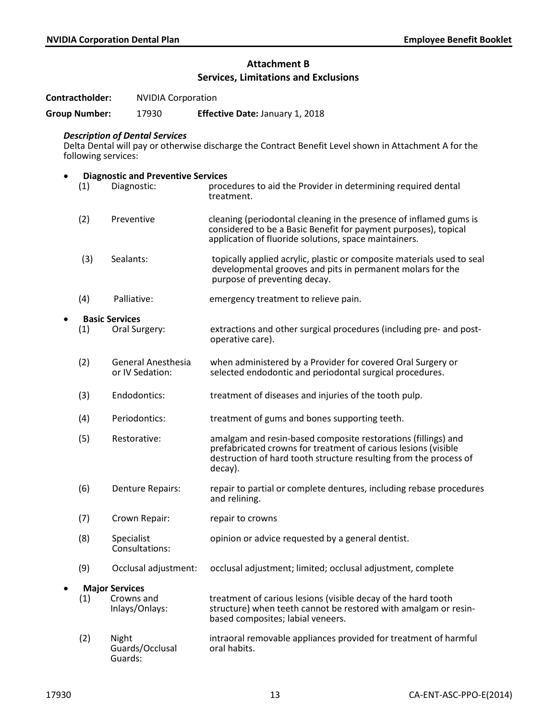# **Attachment B Services, Limitations and Exclusions**

**Contractholder:** NVIDIA Corporation

**Group Number:** 17930 **Effective Date:** January 1, 2018

### *Description of Dental Services*

Delta Dental will pay or otherwise discharge the Contract Benefit Level shown in Attachment A for the following services:

| $\bullet$             |     | <b>Diagnostic and Preventive Services</b>    |                                                                                                                                                                                                                 |  |  |
|-----------------------|-----|----------------------------------------------|-----------------------------------------------------------------------------------------------------------------------------------------------------------------------------------------------------------------|--|--|
|                       | (1) | Diagnostic:                                  | procedures to aid the Provider in determining required dental<br>treatment.                                                                                                                                     |  |  |
|                       | (2) | Preventive                                   | cleaning (periodontal cleaning in the presence of inflamed gums is<br>considered to be a Basic Benefit for payment purposes), topical<br>application of fluoride solutions, space maintainers.                  |  |  |
|                       | (3) | Sealants:                                    | topically applied acrylic, plastic or composite materials used to seal<br>developmental grooves and pits in permanent molars for the<br>purpose of preventing decay.                                            |  |  |
|                       | (4) | Palliative:                                  | emergency treatment to relieve pain.                                                                                                                                                                            |  |  |
| <b>Basic Services</b> |     |                                              |                                                                                                                                                                                                                 |  |  |
|                       | (1) | Oral Surgery:                                | extractions and other surgical procedures (including pre- and post-<br>operative care).                                                                                                                         |  |  |
|                       | (2) | <b>General Anesthesia</b><br>or IV Sedation: | when administered by a Provider for covered Oral Surgery or<br>selected endodontic and periodontal surgical procedures.                                                                                         |  |  |
|                       | (3) | Endodontics:                                 | treatment of diseases and injuries of the tooth pulp.                                                                                                                                                           |  |  |
|                       | (4) | Periodontics:                                | treatment of gums and bones supporting teeth.                                                                                                                                                                   |  |  |
|                       | (5) | Restorative:                                 | amalgam and resin-based composite restorations (fillings) and<br>prefabricated crowns for treatment of carious lesions (visible<br>destruction of hard tooth structure resulting from the process of<br>decay). |  |  |
|                       | (6) | <b>Denture Repairs:</b>                      | repair to partial or complete dentures, including rebase procedures<br>and relining.                                                                                                                            |  |  |
|                       | (7) | Crown Repair:                                | repair to crowns                                                                                                                                                                                                |  |  |
|                       | (8) | Specialist<br>Consultations:                 | opinion or advice requested by a general dentist.                                                                                                                                                               |  |  |
|                       | (9) | Occlusal adjustment:                         | occlusal adjustment; limited; occlusal adjustment, complete                                                                                                                                                     |  |  |
|                       |     | <b>Major Services</b>                        |                                                                                                                                                                                                                 |  |  |
|                       | (1) | Crowns and<br>Inlays/Onlays:                 | treatment of carious lesions (visible decay of the hard tooth<br>structure) when teeth cannot be restored with amalgam or resin-<br>based composites; labial veneers.                                           |  |  |
|                       | (2) | Night<br>Guards/Occlusal<br>Guards:          | intraoral removable appliances provided for treatment of harmful<br>oral habits.                                                                                                                                |  |  |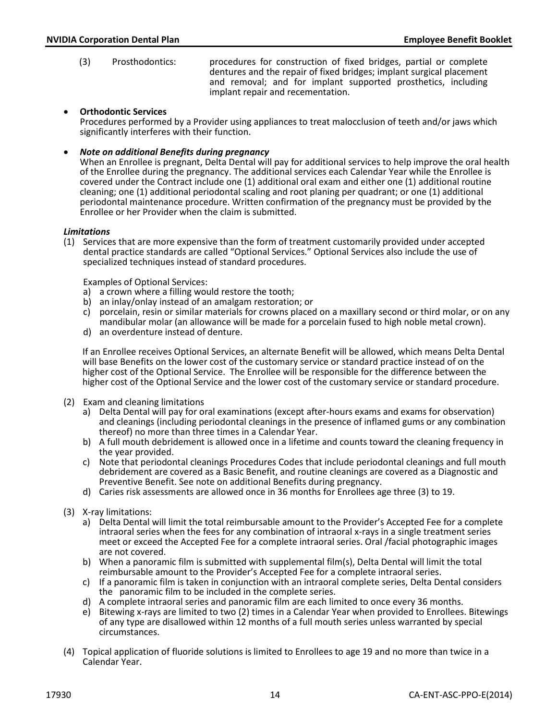(3) Prosthodontics: procedures for construction of fixed bridges, partial or complete dentures and the repair of fixed bridges; implant surgical placement and removal; and for implant supported prosthetics, including implant repair and recementation.

#### • **Orthodontic Services**

Procedures performed by a Provider using appliances to treat malocclusion of teeth and/or jaws which significantly interferes with their function.

• *Note on additional Benefits during pregnancy*

When an Enrollee is pregnant, Delta Dental will pay for additional services to help improve the oral health of the Enrollee during the pregnancy. The additional services each Calendar Year while the Enrollee is covered under the Contract include one (1) additional oral exam and either one (1) additional routine cleaning; one (1) additional periodontal scaling and root planing per quadrant; or one (1) additional periodontal maintenance procedure. Written confirmation of the pregnancy must be provided by the Enrollee or her Provider when the claim is submitted.

#### *Limitations*

(1) Services that are more expensive than the form of treatment customarily provided under accepted dental practice standards are called "Optional Services." Optional Services also include the use of specialized techniques instead of standard procedures.

Examples of Optional Services:

- a) a crown where a filling would restore the tooth;
- b) an inlay/onlay instead of an amalgam restoration; or
- c) porcelain, resin or similar materials for crowns placed on a maxillary second or third molar, or on any mandibular molar (an allowance will be made for a porcelain fused to high noble metal crown).
- d) an overdenture instead of denture.

If an Enrollee receives Optional Services, an alternate Benefit will be allowed, which means Delta Dental will base Benefits on the lower cost of the customary service or standard practice instead of on the higher cost of the Optional Service. The Enrollee will be responsible for the difference between the higher cost of the Optional Service and the lower cost of the customary service or standard procedure.

- (2) Exam and cleaning limitations
	- a) Delta Dental will pay for oral examinations (except after-hours exams and exams for observation) and cleanings (including periodontal cleanings in the presence of inflamed gums or any combination thereof) no more than three times in a Calendar Year.
	- b) A full mouth debridement is allowed once in a lifetime and counts toward the cleaning frequency in the year provided.
	- c) Note that periodontal cleanings Procedures Codes that include periodontal cleanings and full mouth debridement are covered as a Basic Benefit, and routine cleanings are covered as a Diagnostic and Preventive Benefit. See note on additional Benefits during pregnancy.
	- d) Caries risk assessments are allowed once in 36 months for Enrollees age three (3) to 19.
- (3) X-ray limitations:
	- a) Delta Dental will limit the total reimbursable amount to the Provider's Accepted Fee for a complete intraoral series when the fees for any combination of intraoral x-rays in a single treatment series meet or exceed the Accepted Fee for a complete intraoral series. Oral /facial photographic images are not covered.
	- b) When a panoramic film is submitted with supplemental film(s), Delta Dental will limit the total reimbursable amount to the Provider's Accepted Fee for a complete intraoral series.
	- c) If a panoramic film is taken in conjunction with an intraoral complete series, Delta Dental considers the panoramic film to be included in the complete series.
	- d) A complete intraoral series and panoramic film are each limited to once every 36 months.
	- e) Bitewing x-rays are limited to two (2) times in a Calendar Year when provided to Enrollees. Bitewings of any type are disallowed within 12 months of a full mouth series unless warranted by special circumstances.
- (4) Topical application of fluoride solutions is limited to Enrollees to age 19 and no more than twice in a Calendar Year.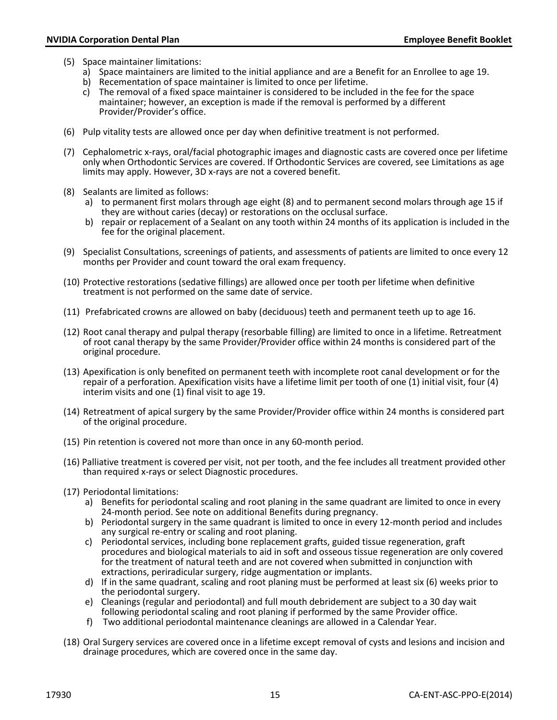- (5) Space maintainer limitations:
	- a) Space maintainers are limited to the initial appliance and are a Benefit for an Enrollee to age 19. b) Recementation of space maintainer is limited to once per lifetime.
	-
	- c) The removal of a fixed space maintainer is considered to be included in the fee for the space maintainer; however, an exception is made if the removal is performed by a different Provider/Provider's office.
- (6) Pulp vitality tests are allowed once per day when definitive treatment is not performed.
- (7) Cephalometric x-rays, oral/facial photographic images and diagnostic casts are covered once per lifetime only when Orthodontic Services are covered. If Orthodontic Services are covered, see Limitations as age limits may apply. However, 3D x-rays are not a covered benefit.
- (8) Sealants are limited as follows:
	- a) to permanent first molars through age eight (8) and to permanent second molars through age 15 if they are without caries (decay) or restorations on the occlusal surface.
	- b) repair or replacement of a Sealant on any tooth within 24 months of its application is included in the fee for the original placement.
- (9) Specialist Consultations, screenings of patients, and assessments of patients are limited to once every 12 months per Provider and count toward the oral exam frequency.
- (10) Protective restorations (sedative fillings) are allowed once per tooth per lifetime when definitive treatment is not performed on the same date of service.
- (11) Prefabricated crowns are allowed on baby (deciduous) teeth and permanent teeth up to age 16.
- (12) Root canal therapy and pulpal therapy (resorbable filling) are limited to once in a lifetime. Retreatment of root canal therapy by the same Provider/Provider office within 24 months is considered part of the original procedure.
- (13) Apexification is only benefited on permanent teeth with incomplete root canal development or for the repair of a perforation. Apexification visits have a lifetime limit per tooth of one (1) initial visit, four (4) interim visits and one (1) final visit to age 19.
- (14) Retreatment of apical surgery by the same Provider/Provider office within 24 months is considered part of the original procedure.
- (15) Pin retention is covered not more than once in any 60-month period.
- (16) Palliative treatment is covered per visit, not per tooth, and the fee includes all treatment provided other than required x-rays or select Diagnostic procedures.
- (17) Periodontal limitations:
	- a) Benefits for periodontal scaling and root planing in the same quadrant are limited to once in every 24-month period. See note on additional Benefits during pregnancy.
	- b) Periodontal surgery in the same quadrant is limited to once in every 12-month period and includes any surgical re-entry or scaling and root planing.
	- c) Periodontal services, including bone replacement grafts, guided tissue regeneration, graft procedures and biological materials to aid in soft and osseous tissue regeneration are only covered for the treatment of natural teeth and are not covered when submitted in conjunction with extractions, periradicular surgery, ridge augmentation or implants.
	- d) If in the same quadrant, scaling and root planing must be performed at least six (6) weeks prior to the periodontal surgery.
	- e) Cleanings (regular and periodontal) and full mouth debridement are subject to a 30 day wait following periodontal scaling and root planing if performed by the same Provider office.
	- f) Two additional periodontal maintenance cleanings are allowed in a Calendar Year.
- (18) Oral Surgery services are covered once in a lifetime except removal of cysts and lesions and incision and drainage procedures, which are covered once in the same day.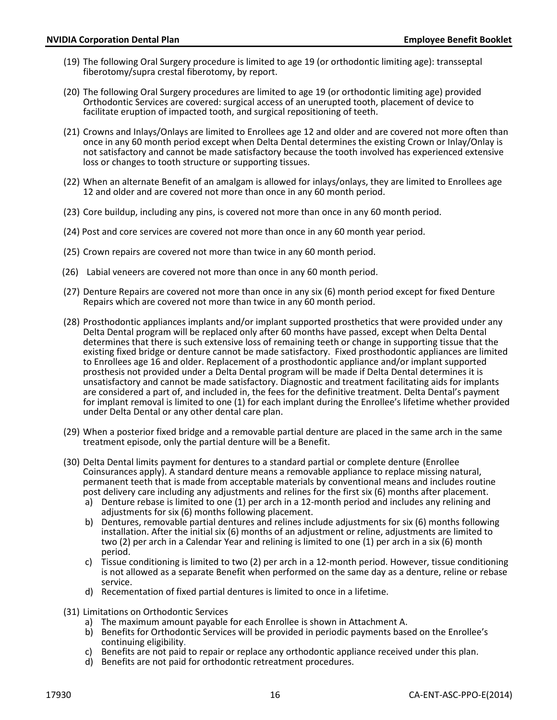- (19) The following Oral Surgery procedure is limited to age 19 (or orthodontic limiting age): transseptal fiberotomy/supra crestal fiberotomy, by report.
- (20) The following Oral Surgery procedures are limited to age 19 (or orthodontic limiting age) provided Orthodontic Services are covered: surgical access of an unerupted tooth, placement of device to facilitate eruption of impacted tooth, and surgical repositioning of teeth.
- (21) Crowns and Inlays/Onlays are limited to Enrollees age 12 and older and are covered not more often than once in any 60 month period except when Delta Dental determines the existing Crown or Inlay/Onlay is not satisfactory and cannot be made satisfactory because the tooth involved has experienced extensive loss or changes to tooth structure or supporting tissues.
- (22) When an alternate Benefit of an amalgam is allowed for inlays/onlays, they are limited to Enrollees age 12 and older and are covered not more than once in any 60 month period.
- (23) Core buildup, including any pins, is covered not more than once in any 60 month period.
- (24) Post and core services are covered not more than once in any 60 month year period.
- (25) Crown repairs are covered not more than twice in any 60 month period.
- (26) Labial veneers are covered not more than once in any 60 month period.
- (27) Denture Repairs are covered not more than once in any six (6) month period except for fixed Denture Repairs which are covered not more than twice in any 60 month period.
- (28) Prosthodontic appliances implants and/or implant supported prosthetics that were provided under any Delta Dental program will be replaced only after 60 months have passed, except when Delta Dental determines that there is such extensive loss of remaining teeth or change in supporting tissue that the existing fixed bridge or denture cannot be made satisfactory. Fixed prosthodontic appliances are limited to Enrollees age 16 and older. Replacement of a prosthodontic appliance and/or implant supported prosthesis not provided under a Delta Dental program will be made if Delta Dental determines it is unsatisfactory and cannot be made satisfactory. Diagnostic and treatment facilitating aids for implants are considered a part of, and included in, the fees for the definitive treatment. Delta Dental's payment for implant removal is limited to one (1) for each implant during the Enrollee's lifetime whether provided under Delta Dental or any other dental care plan.
- (29) When a posterior fixed bridge and a removable partial denture are placed in the same arch in the same treatment episode, only the partial denture will be a Benefit.
- (30) Delta Dental limits payment for dentures to a standard partial or complete denture (Enrollee Coinsurances apply). A standard denture means a removable appliance to replace missing natural, permanent teeth that is made from acceptable materials by conventional means and includes routine post delivery care including any adjustments and relines for the first six (6) months after placement.
	- a) Denture rebase is limited to one (1) per arch in a 12-month period and includes any relining and adjustments for six (6) months following placement.
	- b) Dentures, removable partial dentures and relines include adjustments for six (6) months following installation. After the initial six (6) months of an adjustment or reline, adjustments are limited to two (2) per arch in a Calendar Year and relining is limited to one (1) per arch in a six (6) month period.
	- c) Tissue conditioning is limited to two (2) per arch in a 12-month period. However, tissue conditioning is not allowed as a separate Benefit when performed on the same day as a denture, reline or rebase service.
	- d) Recementation of fixed partial dentures is limited to once in a lifetime.
- (31) Limitations on Orthodontic Services
	- a) The maximum amount payable for each Enrollee is shown in Attachment A.
	- b) Benefits for Orthodontic Services will be provided in periodic payments based on the Enrollee's
	- c) Benefits are not paid to repair or replace any orthodontic appliance received under this plan.
	- d) Benefits are not paid for orthodontic retreatment procedures.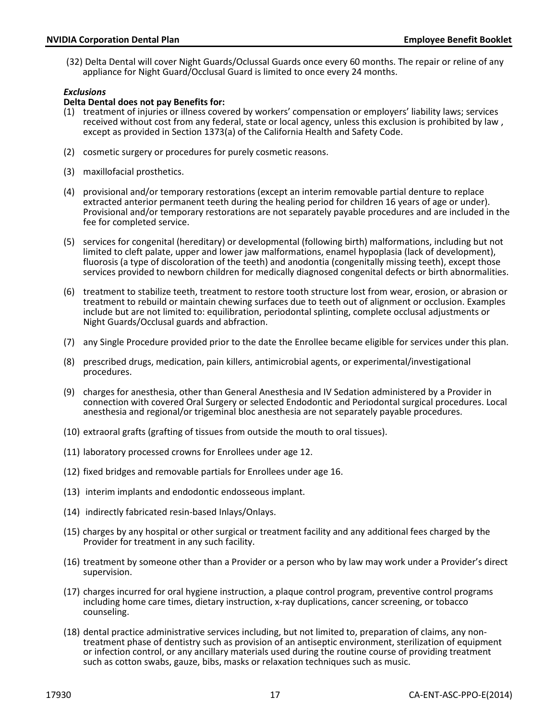(32) Delta Dental will cover Night Guards/Oclussal Guards once every 60 months. The repair or reline of any appliance for Night Guard/Occlusal Guard is limited to once every 24 months.

### *Exclusions*

#### **Delta Dental does not pay Benefits for:**

- (1) treatment of injuries or illness covered by workers' compensation or employers' liability laws; services received without cost from any federal, state or local agency, unless this exclusion is prohibited by law, except as provided in Section 1373(a) of the California Health and Safety Code.
- (2) cosmetic surgery or procedures for purely cosmetic reasons.
- (3) maxillofacial prosthetics.
- (4) provisional and/or temporary restorations (except an interim removable partial denture to replace extracted anterior permanent teeth during the healing period for children 16 years of age or under). Provisional and/or temporary restorations are not separately payable procedures and are included in the fee for completed service.
- (5) services for congenital (hereditary) or developmental (following birth) malformations, including but not limited to cleft palate, upper and lower jaw malformations, enamel hypoplasia (lack of development), fluorosis (a type of discoloration of the teeth) and anodontia (congenitally missing teeth), except those services provided to newborn children for medically diagnosed congenital defects or birth abnormalities.
- (6) treatment to stabilize teeth, treatment to restore tooth structure lost from wear, erosion, or abrasion or treatment to rebuild or maintain chewing surfaces due to teeth out of alignment or occlusion. Examples include but are not limited to: equilibration, periodontal splinting, complete occlusal adjustments or Night Guards/Occlusal guards and abfraction.
- (7) any Single Procedure provided prior to the date the Enrollee became eligible for services under this plan.
- (8) prescribed drugs, medication, pain killers, antimicrobial agents, or experimental/investigational procedures.
- (9) charges for anesthesia, other than General Anesthesia and IV Sedation administered by a Provider in connection with covered Oral Surgery or selected Endodontic and Periodontal surgical procedures. Local anesthesia and regional/or trigeminal bloc anesthesia are not separately payable procedures.
- (10) extraoral grafts (grafting of tissues from outside the mouth to oral tissues).
- (11) laboratory processed crowns for Enrollees under age 12.
- (12) fixed bridges and removable partials for Enrollees under age 16.
- (13) interim implants and endodontic endosseous implant.
- (14) indirectly fabricated resin-based Inlays/Onlays.
- (15) charges by any hospital or other surgical or treatment facility and any additional fees charged by the Provider for treatment in any such facility.
- (16) treatment by someone other than a Provider or a person who by law may work under a Provider's direct supervision.
- (17) charges incurred for oral hygiene instruction, a plaque control program, preventive control programs including home care times, dietary instruction, x-ray duplications, cancer screening, or tobacco counseling.
- (18) dental practice administrative services including, but not limited to, preparation of claims, any nontreatment phase of dentistry such as provision of an antiseptic environment, sterilization of equipment or infection control, or any ancillary materials used during the routine course of providing treatment such as cotton swabs, gauze, bibs, masks or relaxation techniques such as music.